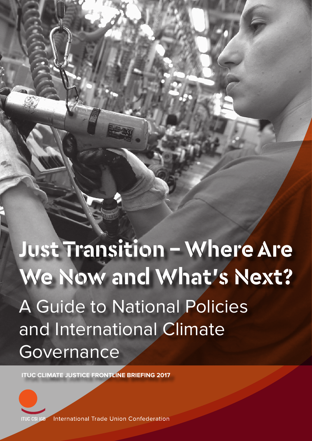# Exploitation: **Just Transition - Where Are**  A Guide to National Policies and International Climate **Governance We Now and What's Next?**

Facilitating

**ITUC CLIMATE JUSTICE FRONTLINE BRIEFING 2017** 3

**ITUC CLIMATE JUSTICE FRONTLINE BRIEFING 2017**



International Trade Union Confederation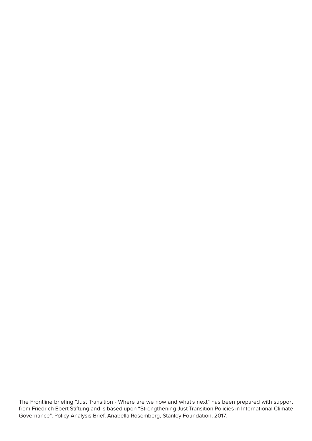The Frontline briefing "Just Transition - Where are we now and what's next" has been prepared with support from Friedrich Ebert Stiftung and is based upon "Strengthening Just Transition Policies in International Climate Governance", Policy Analysis Brief, Anabella Rosemberg, Stanley Foundation, 2017.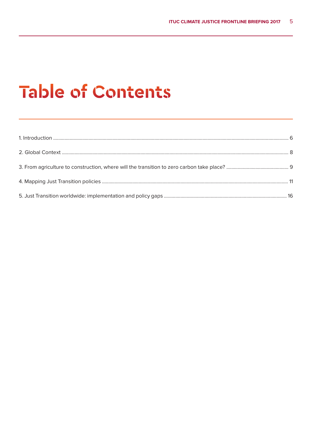## **Table of Contents**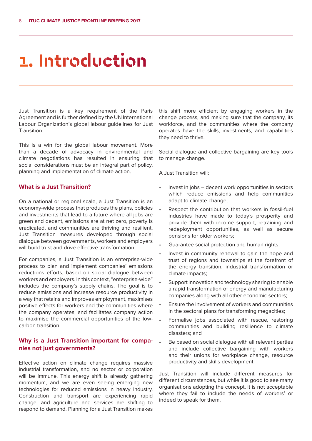### **1. Introduction**

Just Transition is a key requirement of the Paris Agreement and is further defined by the UN International Labour Organization's global labour guidelines for Just Transition.

This is a win for the global labour movement. More than a decade of advocacy in environmental and climate negotiations has resulted in ensuring that social considerations must be an integral part of policy, planning and implementation of climate action.

#### **What is a Just Transition?**

On a national or regional scale, a Just Transition is an economy-wide process that produces the plans, policies and investments that lead to a future where all jobs are green and decent, emissions are at net zero, poverty is eradicated, and communities are thriving and resilient. Just Transition measures developed through social dialogue between governments, workers and employers will build trust and drive effective transformation.

For companies, a Just Transition is an enterprise-wide process to plan and implement companies' emissions reductions efforts, based on social dialogue between workers and employers. In this context, "enterprise-wide" includes the company's supply chains. The goal is to reduce emissions and increase resource productivity in a way that retains and improves employment, maximises positive effects for workers and the communities where the company operates, and facilitates company action to maximise the commercial opportunities of the lowcarbon transition.

#### **Why is a Just Transition important for companies not just governments?**

Effective action on climate change requires massive industrial transformation, and no sector or corporation will be immune. This energy shift is already gathering momentum, and we are even seeing emerging new technologies for reduced emissions in heavy industry. Construction and transport are experiencing rapid change, and agriculture and services are shifting to respond to demand. Planning for a Just Transition makes

this shift more efficient by engaging workers in the change process, and making sure that the company, its workforce, and the communities where the company operates have the skills, investments, and capabilities they need to thrive.

Social dialogue and collective bargaining are key tools to manage change.

A Just Transition will:

- Invest in jobs decent work opportunities in sectors which reduce emissions and help communities adapt to climate change;
- Respect the contribution that workers in fossil-fuel industries have made to today's prosperity and provide them with income support, retraining and redeployment opportunities, as well as secure pensions for older workers;
- Guarantee social protection and human rights;
- Invest in community renewal to gain the hope and trust of regions and townships at the forefront of the energy transition, industrial transformation or climate impacts;
- Support innovation and technology sharing to enable a rapid transformation of energy and manufacturing companies along with all other economic sectors;
- Ensure the involvement of workers and communities in the sectoral plans for transforming megacities;
- Formalise jobs associated with rescue, restoring communities and building resilience to climate disasters; and
- Be based on social dialogue with all relevant parties and include collective bargaining with workers and their unions for workplace change, resource productivity and skills development.

Just Transition will include different measures for different circumstances, but while it is good to see many organisations adopting the concept, it is not acceptable where they fail to include the needs of workers' or indeed to speak for them.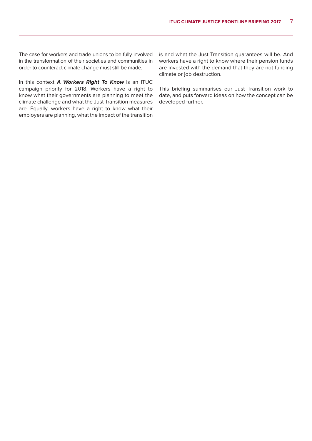The case for workers and trade unions to be fully involved in the transformation of their societies and communities in order to counteract climate change must still be made.

In this context **A Workers Right To Know** is an ITUC campaign priority for 2018. Workers have a right to know what their governments are planning to meet the climate challenge and what the Just Transition measures are. Equally, workers have a right to know what their employers are planning, what the impact of the transition

is and what the Just Transition guarantees will be. And workers have a right to know where their pension funds are invested with the demand that they are not funding climate or job destruction.

This briefing summarises our Just Transition work to date, and puts forward ideas on how the concept can be developed further.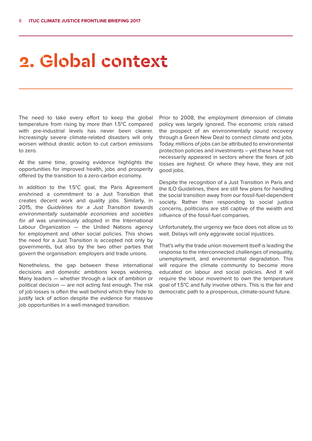### **2. Global context**

The need to take every effort to keep the global temperature from rising by more than 1.5°C compared with pre-industrial levels has never been clearer. Increasingly severe climate-related disasters will only worsen without drastic action to cut carbon emissions to zero.

At the same time, growing evidence highlights the opportunities for improved health, jobs and prosperity offered by the transition to a zero-carbon economy.

In addition to the 1.5°C goal, the Paris Agreement enshrined a commitment to a Just Transition that creates decent work and quality jobs. Similarly, in 2015, the Guidelines for a Just Transition towards environmentally sustainable economies and societies for all was unanimously adopted in the International Labour Organization — the United Nations agency for employment and other social policies. This shows the need for a Just Transition is accepted not only by governments, but also by the two other parties that govern the organisation: employers and trade unions.

Nonetheless, the gap between these international decisions and domestic ambitions keeps widening. Many leaders — whether through a lack of ambition or political decision — are not acting fast enough. The risk of job losses is often the wall behind which they hide to justify lack of action despite the evidence for massive job opportunities in a well-managed transition.

Prior to 2008, the employment dimension of climate policy was largely ignored. The economic crisis raised the prospect of an environmentally sound recovery through a Green New Deal to connect climate and jobs. Today, millions of jobs can be attributed to environmental protection policies and investments – yet these have not necessarily appeared in sectors where the fears of job losses are highest. Or where they have, they are not good jobs.

Despite the recognition of a Just Transition in Paris and the ILO Guidelines, there are still few plans for handling the social transition away from our fossil-fuel-dependent society. Rather than responding to social justice concerns, politicians are still captive of the wealth and influence of the fossil-fuel companies.

Unfortunately, the urgency we face does not allow us to wait. Delays will only aggravate social injustices.

That's why the trade union movement itself is leading the response to the interconnected challenges of inequality, unemployment, and environmental degradation. This will require the climate community to become more educated on labour and social policies. And it will require the labour movement to own the temperature goal of 1.5°C and fully involve others. This is the fair and democratic path to a prosperous, climate-sound future.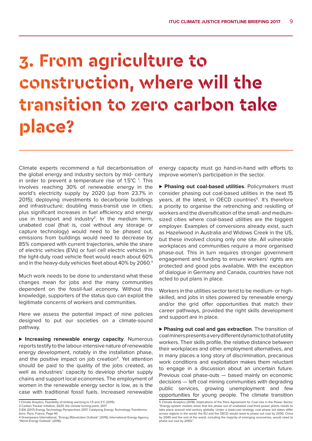## **3. From agriculture to construction, where will the transition to zero carbon take place?**

Climate experts recommend a full decarbonisation of the global energy and industry sectors by mid- century in order to prevent a temperature rise of  $1.5^{\circ}$ C<sup>1</sup>. This involves reaching 30% of renewable energy in the world's electricity supply by 2020 (up from 23.7% in 2015); deploying investments to decarbonie buildings and infrastructure; doubling mass-transit use in cities; plus significant increases in fuel efficiency and energy use in transport and industry<sup>2</sup>. In the medium term, unabated coal (that is, coal without any storage or capture technology) would need to be phased out, emissions from buildings would need to decrease by 85% compared with current trajectories, while the share of electric vehicles (EVs) or fuel cell electric vehicles in the light-duty road vehicle fleet would reach about 60% and in the heavy-duty vehicles fleet about 40% by 2060.3

Much work needs to be done to understand what these changes mean for jobs and the many communities dependent on the fossil-fuel economy. Without this knowledge, supporters of the status quo can exploit the legitimate concerns of workers and communities.

Here we assess the potential impact of nine policies designed to put our societies on a climate-sound pathway.

**⊲ Increasing renewable energy capacity**. Numerous reports testify to the labour-intensive nature of renewable energy development, notably in the installation phase, and the positive impact on job creation<sup>4</sup>. Yet attention should be paid to the quality of the jobs created, as well as industries' capacity to develop shorter supply chains and support local economies. The employment of women in the renewable energy sector is low, as is the case with traditional fossil fuels. Increased renewable

energy capacity must go hand-in-hand with efforts to improve women's participation in the sector.

**⊲ Phasing out coal-based utilities**. Policymakers must consider phasing out coal-based utilities in the next 15 years, at the latest, in OECD countries<sup>5</sup>. It's therefore a priority to organise the retrenching and reskilling of workers and the diversification of the small- and mediumsized cities where coal-based utilities are the biggest employer. Examples of conversions already exist, such as Hazelwood in Australia and Widows Creek in the US, but these involved closing only one site. All vulnerable workplaces and communities require a more organised phase-out. This in turn requires stronger government engagement and funding to ensure workers' rights are protected and good jobs available. With the exception of dialogue in Germany and Canada, countries have not acted to put plans in place.

Workers in the utilities sector tend to be medium- or highskilled, and jobs in sites powered by renewable energy and/or the grid offer opportunities that match their career pathways, provided the right skills development and support are in place.

▶ Phasing out coal and gas extraction. The transition of coal miners presents a very different dynamic to that of utility workers. Their skills profile, the relative distance between their workplaces and other employment alternatives, and in many places a long story of discrimination, precarious work conditions and exploitation makes them reluctant to engage in a discussion about an uncertain future. Previous coal phase-outs — based mainly on economic decisions — left coal mining communities with degrading public services, growing unemployment and few opportunities for young people. The climate transition

<sup>1</sup> Climate Anaytics, Feasibility of limiting warming to 1.5 and 2°C (2015)

<sup>2</sup> Carbon Tracker Initiative, 2020, the climate turning point, 2017

<sup>3</sup> IEA (2017) Energy Technology Perspectives 2017, Catalysing Energy Technology Transformations. Paris, France, Page 40

<sup>4</sup> Greenpeace International, "Energy [R]evolution Outlook" (2015); International Energy Agency, "World Energy Outlook" (2016).

<sup>5</sup> Climate Analytics (2016). Implications of the Paris Agreement for Coal Use in the Power Sector. "Energy-system models show that the phase out of unabated coal-fired power plants needs to take place around mid-century globally. Under a least-cost strategy, coal phase out dates differ across regions in the world: the EU and the OECD would need to phase out coal by 2030, China by 2040 and the rest of the world, including the majority of emerging economies, would need to phase out coal by 2050."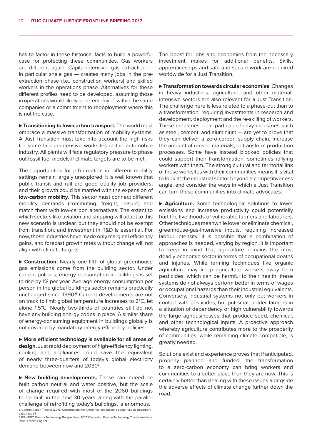has to factor in these historical facts to build a powerful case for protecting these communities. Gas workers are different again. Capital-intensive, gas extraction in particular shale gas — creates many jobs in the preextraction phase (i.e., construction workers) and skilled workers in the operations phase. Alternatives for these different profiles need to be developed, assuming those in operations would likely be re-employed within the same companies or a commitment to redeployment where this is not the case.

**⊲ Transitioning to low-carbon transport.** The world must embrace a massive transformation of mobility systems. A Just Transition must take into account the high risks for some labour-intensive worksites in the automobile industry. All plants will face regulatory pressure to phase out fossil fuel models if climate targets are to be met.

The opportunities for job creation in different mobility settings remain largely unexplored. It is well known that public transit and rail are good quality job providers, and their growth could be married with the expansion of **low-carbon mobility**. This sector must connect different mobility demands (commuting, freight, leisure) and match them with low-carbon alternatives. The extent to which sectors like aviation and shipping will adapt to this new scenario is unclear, but they should not be exempt from transition, and investment in R&D is essential. For now, these industries have made only marginal efficiency gains, and forecast growth rates without change will not align with climate targets.

▶ Construction. Nearly one-fifth of global greenhouse gas emissions come from the building sector. Under current policies, energy consumption in buildings is set to rise by 1% per year. Average energy consumption per person in the global buildings sector remains practically unchanged since 1990.<sup>6</sup> Current developments are not on track to limit global temperature increases to 2**°**C, let alone 1.5**°**C. Nearly two-thirds of countries still do not have any building energy codes in place. A similar share of energy-consuming equipment in buildings globally is not covered by mandatory energy efficiency policies.

**⊲ More efficient technology is available for all areas of design.** Just rapid deployment of high-efficiency lighting, cooling and appliances could save the equivalent of nearly three-quarters of today's global electricity demand between now and 2030**<sup>7</sup>** .

**⊲ New building developments.** These can indeed be built carbon neutral and water positive, but the scale of change required with most of the 2060 buildings to be built in the next 30 years, along with the parallel challenge of retrofitting today's buildings, is enormous. 6 Carbon Action Tracker (2016) Constructing the future: Will the building sector use its decarboni-

sation tools? 7 IEA (2017) Energy Technology Perspectives 2017, Catalysing Energy Technology Transformations. Paris, France Page 9

The boost for jobs and economies from the necessary investment makes for additional benefits. Skills, apprenticeships and safe and secure work are required worldwide for a Just Transition.

**⊲ Transformation towards circular economies**. Changes in heavy industries, agriculture, and other materialintensive sectors are also relevant for a Just Transition. The challenge here is less related to a phase-out than to a transformation, requiring investments in research and development, deployment and the re-skilling of workers. These industries  $-$  in particular heavy industries such as steel, cement, and aluminium — are yet to prove that they can deliver a zero-carbon supply chain, increase the amount of reused materials, or transform production processes. Some have instead blocked policies that could support their transformation, sometimes rallying workers with them. The strong cultural and territorial link of these worksites with their communities means it is vital to look at the industrial sector beyond a competitiveness angle, and consider the ways in which a Just Transition can turn these communities into climate advocates.

**⊲ Agriculture.** Some technological solutions to lower emissions and increase productivity could potentially hurt the livelihoods of vulnerable farmers and labourers. Other techniques meanwhile lower or eliminate chemical, greenhouse-gas-intensive inputs, requiring increased labour intensity. It is possible that a combination of approaches is needed, varying by region. It is important to keep in mind that agriculture remains the most deadly economic sector in terms of occupational deaths and injuries. While farming techniques like organic agriculture may keep agriculture workers away from pesticides, which can be harmful to their health, these systems do not always perform better in terms of wages or occupational hazards than their industrial equivalents. Conversely, industrial systems not only put workers in contact with pesticides, but put small-holder farmers in a situation of dependency or high vulnerability towards the large agribusinesses that produce seed, chemical, and other technological inputs. A proactive approach whereby agriculture contributes more to the prosperity of communities, while remaining climate compatible, is greatly needed.

Solutions exist and experience proves that if anticipated, properly planned and funded, the transformation to a zero-carbon economy can bring workers and communities to a better place than they are now. This is certainly better than dealing with these issues alongside the adverse effects of climate change further down the road.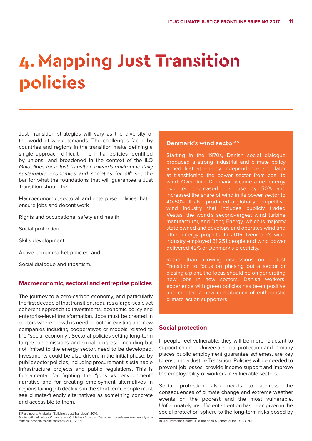### **4. Mapping Just Transition policies**

Just Transition strategies will vary as the diversity of the world of work demands. The challenges faced by countries and regions in the transition make defining a single approach difficult. The initial policies identified by unions<sup>8</sup> and broadened in the context of the ILO Guidelines for a Just Transition towards environmentally sustainable economies and societies for all<sup>9</sup> set the bar for what the foundations that will guarantee a Just Transition should be:

Macroeconomic, sectoral, and enterprise policies that ensure jobs and decent work

Rights and occupational safety and health

Social protection

Skills development

Active labour market policies, and

Social dialogue and tripartism.

#### **Macroeconomic, sectoral and entreprise policies**

The journey to a zero-carbon economy, and particularly the first decade of that transition, requires a large-scale yet coherent approach to investments, economic policy and enterprise-level transformation. Jobs must be created in sectors where growth is needed both in existing and new companies including cooperatives or models related to the "social economy". Sectoral policies setting long-term targets on emissions and social progress, including but not limited to the energy sector, need to be developed. Investments could be also driven, in the initial phase, by public sector policies, including procurement, sustainable infrastructure projects and public regulations. This is fundamental for fighting the "jobs vs. environment" narrative and for creating employment alternatives in regions facing job declines in the short term. People must see climate-friendly alternatives as something concrete and accessible to them.

#### **Denmark's wind sector<sup>10</sup></u>**

Starting in the 1970s, Danish social dialogue produced a strong industrial and climate policy aimed first at energy independence and later at transitioning the power sector from coal to wind. Over time, Denmark became a net energy exporter, decreased coal use by 50% and increased the share of wind in its power sector to 40-50%. It also produced a globally competitive wind industry that includes publicly traded Vestas, the world's second-largest wind turbine manufacturer, and Dong Energy, which is majority state owned and develops and operates wind and other energy projects. In 2015, Denmark's wind industry employed 31,251 people and wind power delivered 42% of Denmark's electricity.

Rather than allowing discussions on a Just Transition to focus on phasing out a sector or closing a plant, the focus should be on generating new jobs in new sectors. Danish workers' experience with green policies has been positive and created a new constituency of enthusiastic climate action supporters.

#### **Social protection**

If people feel vulnerable, they will be more reluctant to support change. Universal social protection and in many places public employment guarantee schemes, are key to ensuring a Justice Transition. Policies will be needed to prevent job losses, provide income support and improve the employability of workers in vulnerable sectors.

Social protection also needs to address the consequences of climate change and extreme weather events on the poorest and the most vulnerable. Unfortunately, insufficient attention has been given in the social protection sphere to the long-term risks posed by

<sup>8</sup> Rosemberg, Anabella, "Building a Just Transition", 2010.

<sup>9</sup> International Labour Organization, Guidelines for a Just Transition towards environmentally sustainable economies and societies for all (2015).

<sup>10</sup> Just Transition Centre, Just Transition A Report for the OECD, 2017).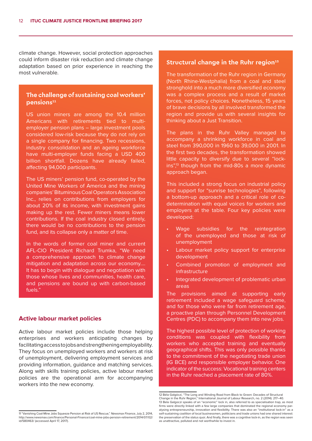climate change. However, social protection approaches could inform disaster risk reduction and climate change adaptation based on prior experience in reaching the most vulnerable.

#### **The challenge of sustaining coal workers' pensions11**

US union miners are among the 10.4 million Americans with retirements tied to multiemployer pension plans – large investment pools considered low-risk because they do not rely on a single company for financing. Two recessions, industry consolidation and an ageing workforce have multi-employer funds facing a USD 400 billion shortfall. Dozens have already failed, affecting 94,000 participants.

The US miners' pension fund, co-operated by the United Mine Workers of America and the mining companies' Bituminous Coal Operators Association Inc., relies on contributions from employers for about 20% of its income, with investment gains making up the rest. Fewer miners means lower contributions. If the coal industry closed entirely, there would be no contributions to the pension fund, and its collapse only a matter of time.

In the words of former coal miner and current AFL-CIO President Richard Trumka, "We need a comprehensive approach to climate change mitigation and adaptation across our economy…. It has to begin with dialogue and negotiation with those whose lives and communities, health care, and pensions are bound up with carbon-based fuels."

#### **Active labour market policies**

Active labour market policies include those helping enterprises and workers anticipating changes by facilitating access to jobs and strengthening employability. They focus on unemployed workers and workers at risk of unemployment, delivering employment services and providing information, guidance and matching services. Along with skills training policies, active labour market policies are the operational arm for accompanying workers into the new economy.

#### **Structural change in the Ruhr region**<sup>12</sup>

The transformation of the Ruhr region in Germany (North Rhine-Westphalia) from a coal and steel stronghold into a much more diversified economy was a complex process and a result of market forces, not policy choices. Nonetheless, 15 years of brave decisions by all involved transformed the region and provide us with several insights for thinking about a Just Transition.

The plans in the Ruhr Valley managed to accompany a shrinking workforce in coal and steel from 390,000 in 1960 to 39,000 in 2001. In the first two decades, the transformation showed little capacity to diversify due to several "lockins",<sup>13</sup> though from the mid-80s a more dynamic approach began.

This included a strong focus on industrial policy and support for "sunrise technologies", following a bottom-up approach and a critical role of codetermination with equal voices for workers and employers at the table. Four key policies were developed:

- Wage subsidies for the reintegration of the unemployed and those at risk of unemployment
- Labour market policy support for enterprise development
- Combined promotion of employment and infrastructure
- Integrated development of problematic urban areas

The provisions aimed at supporting early retirement included a wage safeguard scheme, and for those who were far from retirement age, a proactive plan through Personnel Development Centres (PDC) to accompany them into new jobs.

The highest possible level of protection of working conditions was coupled with flexibility from workers who accepted training and eventually geographical shifts. This was only possible thanks to the commitment of the negotiating trade union (IG BCE) and responsible employer behavior. One indicator of the success: Vocational training centers in the Ruhr reached a placement rate of 80%.

<sup>11 &</sup>quot;Vanishing Coal-Mine Jobs Squeeze Pension at Risk of US Rescue," Newsmax Finance, July 2, 2014, .<br>hewsmax.com/finance/Personal-Finance/coal-mine-jobs-pension-retirement/2014/07/02/ id/580463/ (accessed April 17, 2017).

<sup>12</sup> Béla Galgóczi, "The Long and Winding Road from Black to Green: Decades of Structural Change in the Ruhr Region," International Journal of Labour Research, no. 2 (2014): 217–40. 13 Bela Galgoczi speaks of an "economic" lock in, also referred to as specialisation trap, as most firms were directly linked with a few large companies that dominated the regional economy paralysing entrepreneurship, innovation and flexibility. There was also an "institutional lock-in" as a self-sustaining coalition of local businessmen, politicians and trade unions had one shared interest: the preservation of the status quoi. And finally, there was a cognitive lock-in, as the region was seen as unattractive, polluted and not worthwhile to invest in.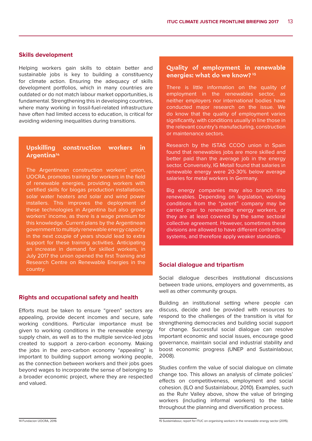#### **Skills development**

Helping workers gain skills to obtain better and sustainable jobs is key to building a constituency for climate action. Ensuring the adequacy of skills development portfolios, which in many countries are outdated or do not match labour market opportunities, is fundamental. Strengthening this in developing countries, where many working in fossil-fuel-related infrastructure have often had limited access to education, is critical for avoiding widening inequalities during transitions.

#### **Upskilling construction workers in Argentina14**

The Argentinean construction workers' union, UOCRA, promotes training for workers in the field of renewable energies, providing workers with certified skills for biogas production installations, solar water heaters and solar and wind power installers. This improves the deployment of these technologies in Argentina but also grows workers' income, as there is a wage premium for this knowledge. Current plans by the Argentinean government to multiply renewable energy capacity in the next couple of years should lead to extra support for these training activities. Anticipating an increase in demand for skilled workers, in July 2017 the union opened the first Training and Research Centre on Renewable Energies in the country.

#### **Rights and occupational safety and health**

Efforts must be taken to ensure "green" sectors are appealing, provide decent incomes and secure, safe working conditions. Particular importance must be given to working conditions in the renewable energy supply chain, as well as to the multiple service-led jobs created to support a zero-carbon economy. Making the jobs in the zero-carbon economy "appealing" is important to building support among working people, as the connection between workers and their jobs goes beyond wages to incorporate the sense of belonging to a broader economic project, where they are respected and valued.

#### **Quality of employment in renewable energies: what do we know? 15**

There is little information on the quality of employment in the renewables sector, as neither employers nor international bodies have conducted major research on the issue. We do know that the quality of employment varies significantly, with conditions usually in line those in the relevant country's manufacturing, construction or maintenance sectors.

Research by the ISTAS CCOO union in Spain found that renewables jobs are more skilled and better paid than the average job in the energy sector. Conversely, IG Metall found that salaries in renewable energy were 20-30% below average salaries for metal workers in Germany.

Big energy companies may also branch into renewables. Depending on legislation, working conditions from the "parent" company may be carried over to renewable energy workers, or they are at least covered by the same sectoral collective agreement. However, sometimes these divisions are allowed to have different contracting systems, and therefore apply weaker standards.

#### **Social dialogue and tripartism**

Social dialogue describes institutional discussions between trade unions, employers and governments, as well as other community groups.

Building an institutional setting where people can discuss, decide and be provided with resources to respond to the challenges of the transition is vital for strengthening democracies and building social support for change. Successful social dialogue can resolve important economic and social issues, encourage good governance, maintain social and industrial stability and boost economic progress (UNEP and Sustainlabour, 2008).

Studies confirm the value of social dialogue on climate change too. This allows an analysis of climate policies' effects on competitiveness, employment and social cohesion. (ILO and Sustainlabour, 2010). Examples, such as the Ruhr Valley above, show the value of bringing workers (including informal workers) to the table throughout the planning and diversification process.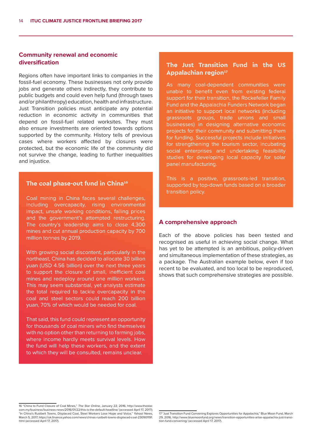#### **Community renewal and economic diversification**

Regions often have important links to companies in the fossil-fuel economy. These businesses not only provide jobs and generate others indirectly, they contribute to public budgets and could even help fund (through taxes and/or philanthropy) education, health and infrastructure. Just Transition policies must anticipate any potential reduction in economic activity in communities that depend on fossil-fuel related worksites. They must also ensure investments are oriented towards options supported by the community. History tells of previous cases where workers affected by closures were protected, but the economic life of the community did not survive the change, leading to further inequalities and injustice.

#### **The coal phase-out fund in China16**

Coal mining in China faces several challenges, including overcapacity, rising environmental impact, unsafe working conditions, falling prices and the government's attempted restructuring. The country's leadership aims to close 4,300 mines and cut annual production capacity by 700 million tonnes by 2019.

With growing social discontent, particularly in the northeast, China has decided to allocate 30 billion yuan (USD 4.56 billion) over the next three years to support the closure of small, inefficient coal mines and redeploy around one million workers. This may seem substantial, yet analysts estimate the total required to tackle overcapacity in the coal and steel sectors could reach 200 billion yuan, 70% of which would be needed for coal.

That said, this fund could represent an opportunity for thousands of coal miners who find themselves with no option other than returning to farming jobs, where income hardly meets survival levels. How the fund will help these workers, and the extent to which they will be consulted, remains unclear.

#### **The Just Transition Fund in the US**  Appalachian region<sup>17</sup>

As many coal-dependent communities were unable to benefit even from existing federal support for their transition, the Rockefeller Family Fund and the Appalachia Funders Network began an initiative to support local networks (including grassroots groups, trade unions and small businesses) in designing alternative economic projects for their community and submitting them for funding. Successful projects include initiatives for strengthening the tourism sector, incubating social enterprises and undertaking feasibility studies for developing local capacity for solar panel manufacturing.

This is a positive, grassroots-led transition, supported by top-down funds based on a broader transition policy.

#### **A comprehensive approach**

Each of the above policies has been tested and recognised as useful in achieving social change. What has yet to be attempted is an ambitious, policy-driven and simultaneous implementation of these strategies, as a package. The Australian example below, even if too recent to be evaluated, and too local to be reproduced, shows that such comprehensive strategies are possible.

<sup>16 &</sup>quot;China to Fund Closure of Coal Mines," The Star Online, January 22, 2016, http://www.thestar. com.my/business/business-news/2016/01/22/this-is-the-default-headline/ (accessed April 17, 2017); "In China's Rustbelt Towns, Displaced Coal, Steel Workers Lose Hope and Voice," Yahoo! News, March 5, 2017, https://uk.finance.yahoo.com/news/chinas-rustbelt-towns-displaced-coal-230901191. html (accessed April 17, 2017).

<sup>17 &</sup>quot;Just Transition Fund Convening Explores Opportunities for Appalachia," Blue Moon Fund, March 29, 2016, http://www.bluemoonfund.org/news/transition-opportunities-arise-appalachia-just-transition-fund-convening/ (accessed April 17, 2017).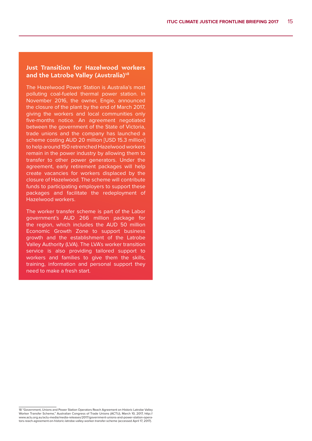#### **Just Transition for Hazelwood workers**  and the Latrobe Valley (Australia)<sup>18</sup>

The Hazelwood Power Station is Australia's most polluting coal-fueled thermal power station. In November 2016, the owner, Engie, announced the closure of the plant by the end of March 2017, giving the workers and local communities only five-months notice. An agreement negotiated between the government of the State of Victoria, trade unions and the company has launched a scheme costing AUD 20 million [USD 15.3 million] to help around 150 retrenched Hazelwood workers remain in the power industry by allowing them to transfer to other power generators. Under the agreement, early retirement packages will help create vacancies for workers displaced by the closure of Hazelwood. The scheme will contribute funds to participating employers to support these packages and facilitate the redeployment of Hazelwood workers.

The worker transfer scheme is part of the Labor government's AUD 266 million package for the region, which includes the AUD 50 million Economic Growth Zone to support business growth and the establishment of the Latrobe Valley Authority (LVA). The LVA's worker transition service is also providing tailored support to workers and families to give them the skills, training, information and personal support they need to make a fresh start.

<sup>18 &</sup>quot;Government, Unions and Power Station Operators Reach Agreement on Historic Latrobe Valley Worker Transfer Scheme," Australian Congress of Trade Unions (ACTU), March 10, 2017, http:// www.actu.org.au/actu-media/media-releases/2017/government-unions-and-power-station-operators-reach-agreement-on-historic-latrobe-valley-worker-transfer-scheme (accessed April 17, 2017).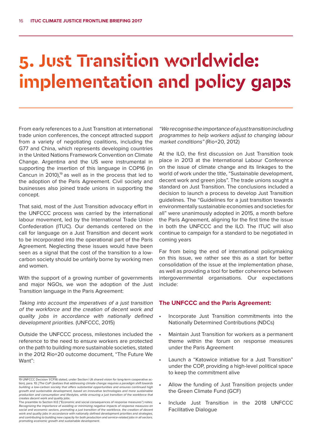### **5. Just Transition worldwide: implementation and policy gaps**

From early references to a Just Transition at international trade union conferences, the concept attracted support from a variety of negotiating coalitions, including the G77 and China, which represents developing countries in the United Nations Framework Convention on Climate Change. Argentina and the US were instrumental in supporting the insertion of this language in COP16 (in Cancun in 2010),<sup>19</sup> as well as in the process that led to the adoption of the Paris Agreement. Civil society and businesses also joined trade unions in supporting the concept.

That said, most of the Just Transition advocacy effort in the UNFCCC process was carried by the international labour movement, led by the International Trade Union Confederation (ITUC). Our demands centered on the call for language on a Just Transition and decent work to be incorporated into the operational part of the Paris Agreement. Neglecting these issues would have been seen as a signal that the cost of the transition to a lowcarbon society should be unfairly borne by working men and women.

With the support of a growing number of governments and major NGOs, we won the adoption of the Just Transition language in the Paris Agreement:

Taking into account the imperatives of a just transition of the workforce and the creation of decent work and quality jobs in accordance with nationally defined development priorities. (UNFCCC, 2015)

Outside the UNFCCC process, milestones included the reference to the need to ensure workers are protected on the path to building more sustainable societies, stated in the 2012 Rio+20 outcome document, "The Future We Want":

"We recognise the importance of a just transition including programmes to help workers adjust to changing labour market conditions" (Rio+20, 2012)

At the ILO, the first discussion on Just Transition took place in 2013 at the International Labour Conference on the issue of climate change and its linkages to the world of work under the title, "Sustainable development, decent work and green jobs". The trade unions sought a standard on Just Transition. The conclusions included a decision to launch a process to develop Just Transition guidelines. The "Guidelines for a just transition towards environmentally sustainable economies and societies for all" were unanimously adopted in 2015, a month before the Paris Agreement, aligning for the first time the issue in both the UNFCCC and the ILO. The ITUC will also continue to campaign for a standard to be negotiated in coming years

Far from being the end of international policymaking on this issue, we rather see this as a start for better consolidation of the issue at the implementation phase, as well as providing a tool for better coherence between intergovernmental organisations. Our expectations include:

#### **The UNFCCC and the Paris Agreement:**

- Incorporate Just Transition commitments into the Nationally Determined Contributions (NDCs)
- Maintain Just Transition for workers as a permanent theme within the forum on response measures under the Paris Agreement
- Launch a "Katowice initiative for a Just Transition" under the COP, providing a high-level political space to keep the commitment alive
- Allow the funding of Just Transition projects under the Green Climate Fund (GCF)
- • Include Just Transition in the 2018 UNFCCC Facilitative Dialogue

<sup>19</sup> UNFCCC Decision 1/CP.16 stated, under Section I (A shared vision for long-term cooperative action), para. 10: [The CoP r]ealizes that addressing climate change requires a paradigm shift towards building a low-carbon society that offers substantial opportunities and ensures continued high growth and sustainable development, based on innovative technologies and more sustainable production and consumption and lifestyles, while ensuring a just transition of the workforce that creates decent work and quality jobs.

The preamble to Section III.E ("Economic and social consequences of response measures") notes: Recognizing the importance of avoiding or minimizing negative impacts of response measures on social and economic sectors, promoting a just transition of the workforce, the creation of decent work and quality jobs in accordance with nationally defined development priorities and strategies, and contributing to building new capacity for both production and service-related jobs in all sectors, promoting economic growth and sustainable development.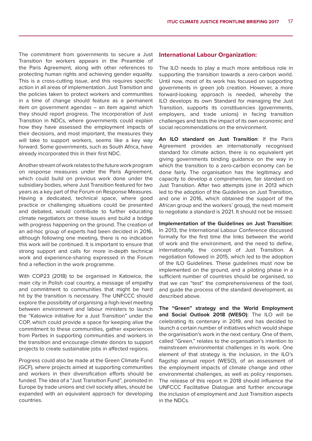The commitment from governments to secure a Just Transition for workers appears in the Preamble of the Paris Agreement, along with other references to protecting human rights and achieving gender equality. This is a cross-cutting issue, and this requires specific action in all areas of implementation. Just Transition and the policies taken to protect workers and communities in a time of change should feature as a permanent item on government agendas – an item against which they should report progress. The incorporation of Just Transition in NDCs, where governments could explain how they have assessed the employment impacts of their decisions, and most important, the measures they will take to support workers, seems like a key way forward. Some governments, such as South Africa, have already incorporated this in their first NDC.

Another stream of work relates to the future work program on response measures under the Paris Agreement, which could build on previous work done under the subsidiary bodies, where Just Transition featured for two years as a key part of the Forum on Response Measures. Having a dedicated, technical space, where good practice or challenging situations could be presented and debated, would contribute to further educating climate negotiators on these issues and build a bridge with progress happening on the ground. The creation of an ad-hoc group of experts had been decided in 2016, although following one meeting, there is no indication this work will be continued. It is important to ensure that strong support and calls for more in-depth technical work and experience-sharing expressed in the Forum find a reflection in the work programme.

With COP23 (2018) to be organised in Katowice, the main city in Polish coal country, a message of empathy and commitment to communities that might be hard hit by the transition is necessary. The UNFCCC should explore the possibility of organising a high-level meeting between environment and labour ministers to launch the "Katowice initiative for a Just Transition" under the COP, which could provide a space for keeping alive the commitment to these communities, gather experiences from Parties in supporting communities and workers in the transition and encourage climate donors to support projects to create sustainable jobs in affected regions.

Progress could also be made at the Green Climate Fund (GCF), where projects aimed at supporting communities and workers in their diversification efforts should be funded. The idea of a "Just Transition Fund", promoted in Europe by trade unions and civil society allies, should be expanded with an equivalent approach for developing countries.

#### **International Labour Organization:**

The ILO needs to play a much more ambitious role in supporting the transition towards a zero-carbon world. Until now, most of its work has focused on supporting governments in green job creation. However, a more forward-looking approach is needed, whereby the ILO develops its own Standard for managing the Just Transition, supports its constituencies (governments, employers, and trade unions) in facing transition challenges and tests the impact of its own economic and social recommendations on the environment.

**An ILO standard on Just Transition**: If the Paris Agreement provides an internationally recognised standard for climate action, there is no equivalent yet giving governments binding guidance on the way in which the transition to a zero-carbon economy can be done fairly. The organisation has the legitimacy and capacity to develop a comprehensive, fair standard on Just Transition. After two attempts (one in 2013 which led to the adoption of the Guidelines on Just Transition, and one in 2016, which obtained the support of the African group and the workers' group), the next moment to negotiate a standard is 2021. It should not be missed.

**Implementation of the Guidelines on Just Transition**: In 2013, the International Labour Conference discussed formally for the first time the links between the world of work and the environment, and the need to define, internationally, the concept of Just Transition. A negotiation followed in 2015, which led to the adoption of the ILO Guidelines. These guidelines must now be implemented on the ground, and a piloting phase in a sufficient number of countries should be organised, so that we can "test" the comprehensiveness of the tool, and guide the process of the standard development, as described above.

**The "Green" strategy and the World Employment and Social Outlook 2018 (WESO)**: The ILO will be celebrating its centenary in 2019, and has decided to launch a certain number of initiatives which would shape the organisation's work in the next century. One of them, called "Green," relates to the organisation's intention to mainstream environmental challenges in its work. One element of that strategy is the inclusion, in the ILO's flagship annual report (WESO), of an assessment of the employment impacts of climate change and other environmental challenges, as well as policy responses. The release of this report in 2018 should influence the UNFCCC Facilitative Dialogue and further encourage the inclusion of employment and Just Transition aspects in the NDCs.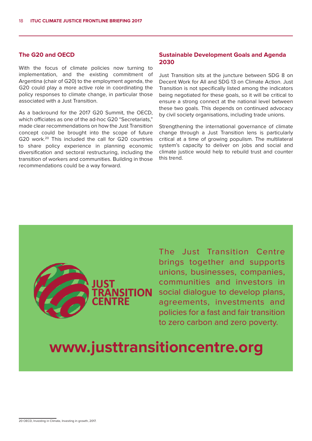#### **The G20 and OECD**

With the focus of climate policies now turning to implementation, and the existing commitment of Argentina (chair of G20) to the employment agenda, the G20 could play a more active role in coordinating the policy responses to climate change, in particular those associated with a Just Transition.

As a backround for the 2017 G20 Summit, the OECD, which officiates as one of the ad-hoc G20 "Secretariats," made clear recommendations on how the Just Transition concept could be brought into the scope of future G20 work.20 This included the call for G20 countries to share policy experience in planning economic diversification and sectoral restructuring, including the transition of workers and communities. Building in those recommendations could be a way forward.

#### **Sustainable Development Goals and Agenda 2030**

Just Transition sits at the juncture between SDG 8 on Decent Work for All and SDG 13 on Climate Action. Just Transition is not specifically listed among the indicators being negotiated for these goals, so it will be critical to ensure a strong connect at the national level between these two goals. This depends on continued advocacy by civil society organisations, including trade unions.

Strengthening the international governance of climate change through a Just Transition lens is particularly critical at a time of growing populism. The multilateral system's capacity to deliver on jobs and social and climate justice would help to rebuild trust and counter this trend.



The Just Transition Centre brings together and supports unions, businesses, companies, communities and investors in social dialogue to develop plans, agreements, investments and policies for a fast and fair transition to zero carbon and zero poverty.

### **www.justtransitioncentre.org**